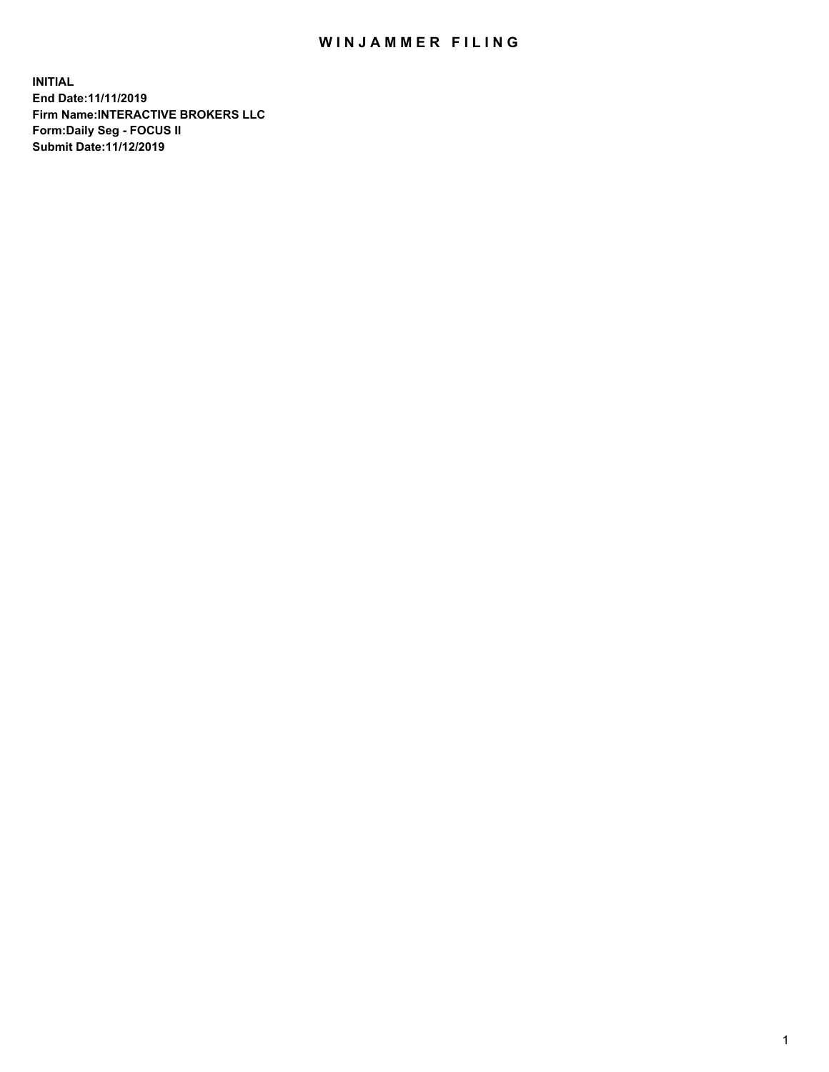## WIN JAMMER FILING

**INITIAL End Date:11/11/2019 Firm Name:INTERACTIVE BROKERS LLC Form:Daily Seg - FOCUS II Submit Date:11/12/2019**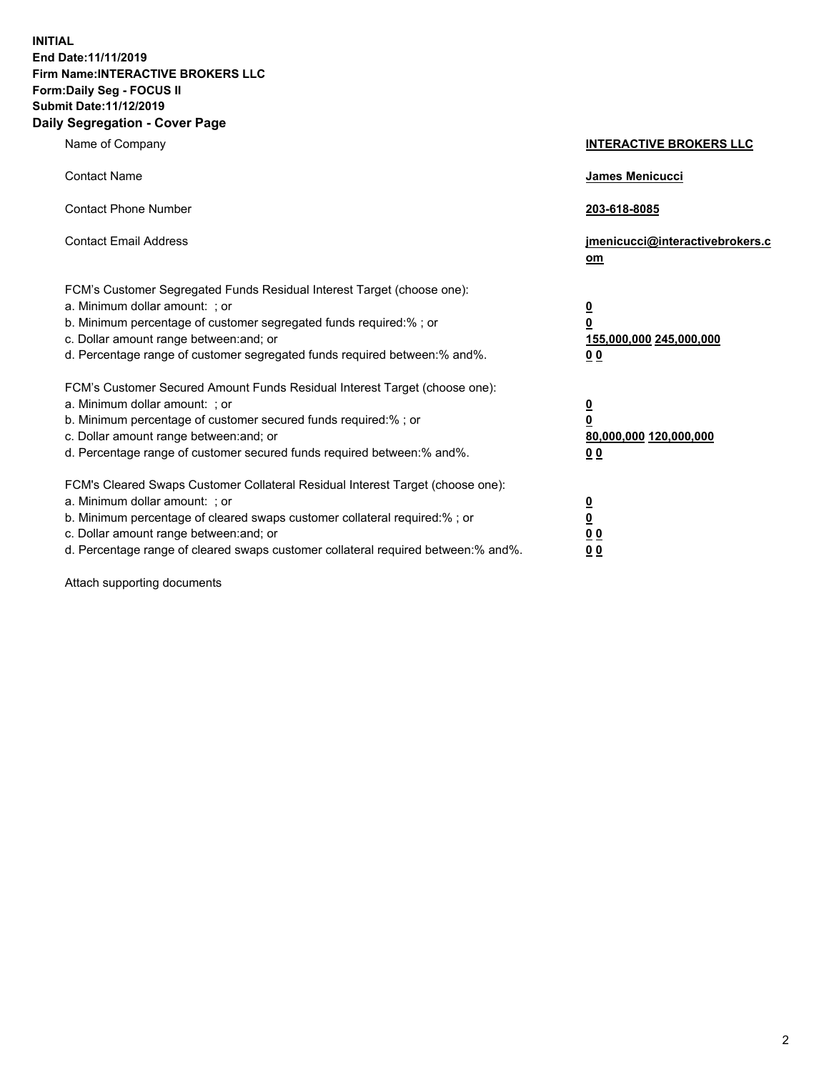**INITIAL End Date:11/11/2019 Firm Name:INTERACTIVE BROKERS LLC Form:Daily Seg - FOCUS II Submit Date:11/12/2019 Daily Segregation - Cover Page**

| Name of Company                                                                                                                                                                                                                                                                                                                | <b>INTERACTIVE BROKERS LLC</b>                                                                           |
|--------------------------------------------------------------------------------------------------------------------------------------------------------------------------------------------------------------------------------------------------------------------------------------------------------------------------------|----------------------------------------------------------------------------------------------------------|
| <b>Contact Name</b>                                                                                                                                                                                                                                                                                                            | James Menicucci                                                                                          |
| <b>Contact Phone Number</b>                                                                                                                                                                                                                                                                                                    | 203-618-8085                                                                                             |
| <b>Contact Email Address</b>                                                                                                                                                                                                                                                                                                   | jmenicucci@interactivebrokers.c<br>om                                                                    |
| FCM's Customer Segregated Funds Residual Interest Target (choose one):<br>a. Minimum dollar amount: ; or<br>b. Minimum percentage of customer segregated funds required:% ; or<br>c. Dollar amount range between: and; or<br>d. Percentage range of customer segregated funds required between:% and%.                         | $\overline{\mathbf{0}}$<br>$\overline{\mathbf{0}}$<br>155,000,000 245,000,000<br>0 <sub>0</sub>          |
| FCM's Customer Secured Amount Funds Residual Interest Target (choose one):<br>a. Minimum dollar amount: ; or<br>b. Minimum percentage of customer secured funds required:%; or<br>c. Dollar amount range between: and; or<br>d. Percentage range of customer secured funds required between:% and%.                            | $\overline{\mathbf{0}}$<br>$\overline{\mathbf{0}}$<br>80,000,000 120,000,000<br>00                       |
| FCM's Cleared Swaps Customer Collateral Residual Interest Target (choose one):<br>a. Minimum dollar amount: ; or<br>b. Minimum percentage of cleared swaps customer collateral required:% ; or<br>c. Dollar amount range between: and; or<br>d. Percentage range of cleared swaps customer collateral required between:% and%. | $\overline{\mathbf{0}}$<br>$\underline{\mathbf{0}}$<br>$\underline{0}$ $\underline{0}$<br>0 <sub>0</sub> |

Attach supporting documents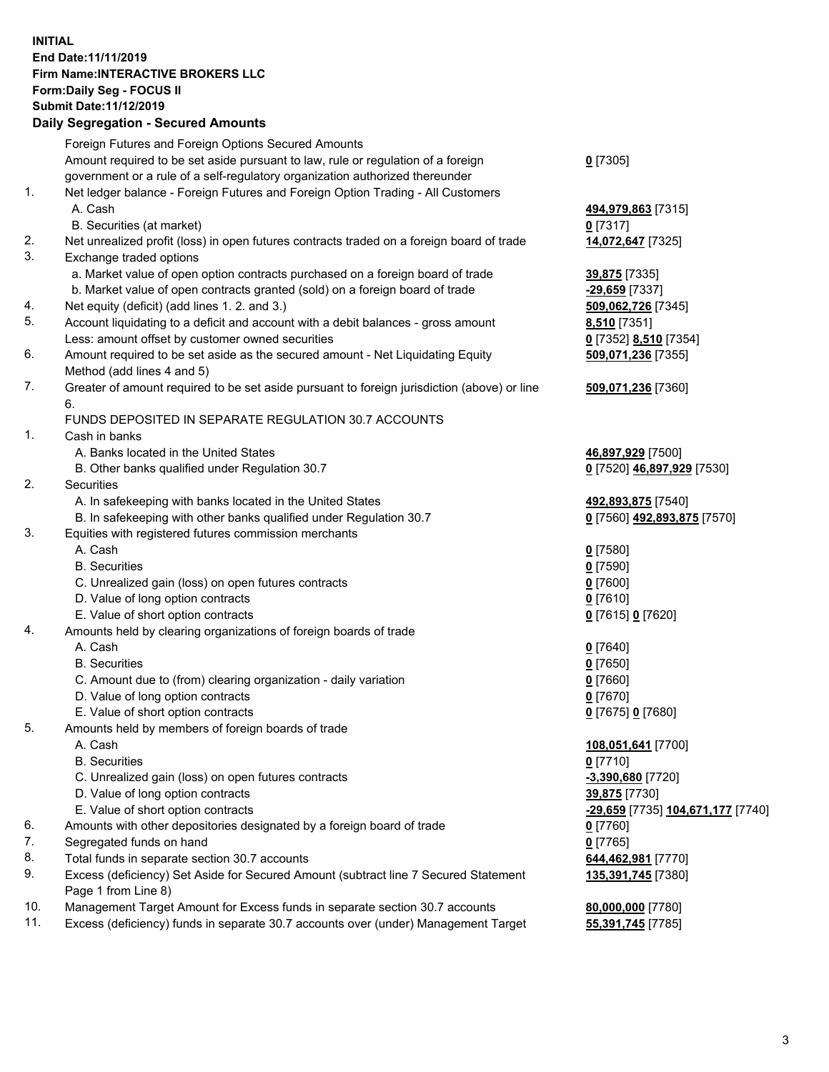## **INITIAL End Date:11/11/2019 Firm Name:INTERACTIVE BROKERS LLC Form:Daily Seg - FOCUS II Submit Date:11/12/2019 Daily Segregation - Secured Amounts**

|                | Daily Jegregation - Jeculed Aniounts                                                                       |                                   |
|----------------|------------------------------------------------------------------------------------------------------------|-----------------------------------|
|                | Foreign Futures and Foreign Options Secured Amounts                                                        |                                   |
|                | Amount required to be set aside pursuant to law, rule or regulation of a foreign                           | $0$ [7305]                        |
|                | government or a rule of a self-regulatory organization authorized thereunder                               |                                   |
| $\mathbf{1}$ . | Net ledger balance - Foreign Futures and Foreign Option Trading - All Customers                            |                                   |
|                | A. Cash                                                                                                    | 494,979,863 [7315]                |
|                | B. Securities (at market)                                                                                  | 0 [7317]                          |
| 2.             | Net unrealized profit (loss) in open futures contracts traded on a foreign board of trade                  | 14,072,647 [7325]                 |
| 3.             | Exchange traded options                                                                                    |                                   |
|                | a. Market value of open option contracts purchased on a foreign board of trade                             | 39,875 [7335]                     |
|                | b. Market value of open contracts granted (sold) on a foreign board of trade                               | $-29,659$ [7337]                  |
| 4.             | Net equity (deficit) (add lines 1. 2. and 3.)                                                              | 509,062,726 [7345]                |
| 5.             | Account liquidating to a deficit and account with a debit balances - gross amount                          | 8,510 [7351]                      |
|                | Less: amount offset by customer owned securities                                                           | 0 [7352] 8,510 [7354]             |
| 6.             | Amount required to be set aside as the secured amount - Net Liquidating Equity                             | 509,071,236 [7355]                |
|                | Method (add lines 4 and 5)                                                                                 |                                   |
| 7.             | Greater of amount required to be set aside pursuant to foreign jurisdiction (above) or line                | 509,071,236 [7360]                |
|                | 6.                                                                                                         |                                   |
|                | FUNDS DEPOSITED IN SEPARATE REGULATION 30.7 ACCOUNTS                                                       |                                   |
| 1.             | Cash in banks                                                                                              |                                   |
|                | A. Banks located in the United States                                                                      | 46,897,929 [7500]                 |
|                | B. Other banks qualified under Regulation 30.7                                                             | 0 [7520] 46,897,929 [7530]        |
| 2.             | Securities                                                                                                 |                                   |
|                | A. In safekeeping with banks located in the United States                                                  | 492,893,875 [7540]                |
|                | B. In safekeeping with other banks qualified under Regulation 30.7                                         | 0 [7560] 492,893,875 [7570]       |
| 3.             | Equities with registered futures commission merchants                                                      |                                   |
|                | A. Cash                                                                                                    | $0$ [7580]                        |
|                | <b>B.</b> Securities                                                                                       | $0$ [7590]                        |
|                | C. Unrealized gain (loss) on open futures contracts                                                        | $0$ [7600]                        |
|                | D. Value of long option contracts                                                                          | $0$ [7610]                        |
|                | E. Value of short option contracts                                                                         | 0 [7615] 0 [7620]                 |
| 4.             | Amounts held by clearing organizations of foreign boards of trade                                          |                                   |
|                | A. Cash                                                                                                    | $Q$ [7640]                        |
|                | <b>B.</b> Securities                                                                                       | $0$ [7650]                        |
|                | C. Amount due to (from) clearing organization - daily variation                                            | $0$ [7660]                        |
|                | D. Value of long option contracts                                                                          | $0$ [7670]                        |
|                | E. Value of short option contracts                                                                         | 0 [7675] 0 [7680]                 |
| 5.             | Amounts held by members of foreign boards of trade                                                         |                                   |
|                | A. Cash<br><b>B.</b> Securities                                                                            | 108,051,641 [7700]                |
|                |                                                                                                            | $0$ [7710]                        |
|                | C. Unrealized gain (loss) on open futures contracts<br>D. Value of long option contracts                   | $-3,390,680$ [7720]               |
|                |                                                                                                            | 39,875 [7730]                     |
|                | E. Value of short option contracts                                                                         | -29,659 [7735] 104,671,177 [7740] |
| 6.<br>7.       | Amounts with other depositories designated by a foreign board of trade<br>Segregated funds on hand         | 0 [7760]                          |
| 8.             |                                                                                                            | $0$ [7765]                        |
| 9.             | Total funds in separate section 30.7 accounts                                                              | 644,462,981 [7770]                |
|                | Excess (deficiency) Set Aside for Secured Amount (subtract line 7 Secured Statement<br>Page 1 from Line 8) | 135,391,745 [7380]                |
| 10.            | Management Target Amount for Excess funds in separate section 30.7 accounts                                | 80,000,000 [7780]                 |
| 11.            | Excess (deficiency) funds in separate 30.7 accounts over (under) Management Target                         | 55,391,745 [7785]                 |
|                |                                                                                                            |                                   |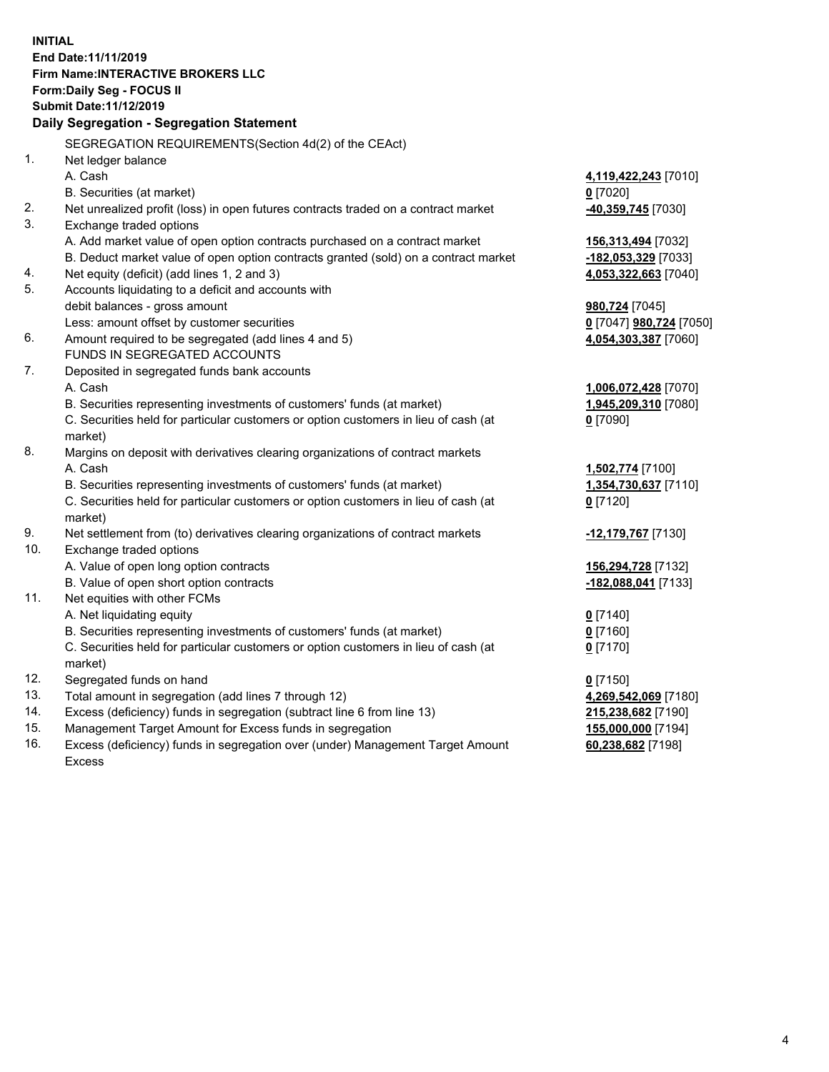**INITIAL End Date:11/11/2019 Firm Name:INTERACTIVE BROKERS LLC Form:Daily Seg - FOCUS II Submit Date:11/12/2019 Daily Segregation - Segregation Statement** SEGREGATION REQUIREMENTS(Section 4d(2) of the CEAct) 1. Net ledger balance A. Cash **4,119,422,243** [7010] B. Securities (at market) **0** [7020] 2. Net unrealized profit (loss) in open futures contracts traded on a contract market **-40,359,745** [7030] 3. Exchange traded options A. Add market value of open option contracts purchased on a contract market **156,313,494** [7032] B. Deduct market value of open option contracts granted (sold) on a contract market **-182,053,329** [7033] 4. Net equity (deficit) (add lines 1, 2 and 3) **4,053,322,663** [7040] 5. Accounts liquidating to a deficit and accounts with debit balances - gross amount **980,724** [7045] Less: amount offset by customer securities **0** [7047] **980,724** [7050] 6. Amount required to be segregated (add lines 4 and 5) **4,054,303,387** [7060] FUNDS IN SEGREGATED ACCOUNTS 7. Deposited in segregated funds bank accounts A. Cash **1,006,072,428** [7070] B. Securities representing investments of customers' funds (at market) **1,945,209,310** [7080] C. Securities held for particular customers or option customers in lieu of cash (at market) **0** [7090] 8. Margins on deposit with derivatives clearing organizations of contract markets A. Cash **1,502,774** [7100] B. Securities representing investments of customers' funds (at market) **1,354,730,637** [7110] C. Securities held for particular customers or option customers in lieu of cash (at market) **0** [7120] 9. Net settlement from (to) derivatives clearing organizations of contract markets **-12,179,767** [7130] 10. Exchange traded options A. Value of open long option contracts **156,294,728** [7132] B. Value of open short option contracts **-182,088,041** [7133] 11. Net equities with other FCMs A. Net liquidating equity **0** [7140] B. Securities representing investments of customers' funds (at market) **0** [7160] C. Securities held for particular customers or option customers in lieu of cash (at market) **0** [7170] 12. Segregated funds on hand **0** [7150] 13. Total amount in segregation (add lines 7 through 12) **4,269,542,069** [7180] 14. Excess (deficiency) funds in segregation (subtract line 6 from line 13) **215,238,682** [7190] 15. Management Target Amount for Excess funds in segregation **155,000,000** [7194] 16. Excess (deficiency) funds in segregation over (under) Management Target Amount **60,238,682** [7198]

Excess